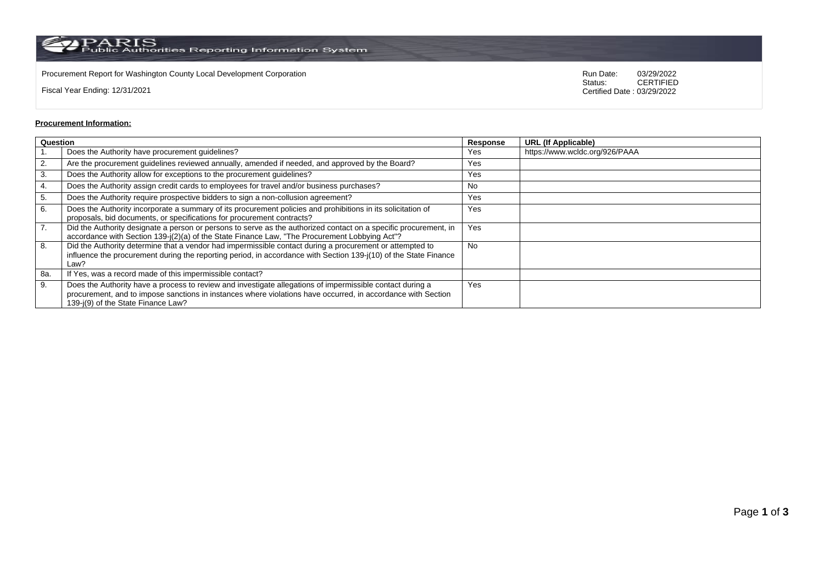$\rm PARS$  Public Authorities Reporting Information System

Procurement Report for Washington County Local Development Corporation **Computer Construction** Run Date: 03/29/2022<br>Status: CERTIFIED

Fiscal Year Ending: 12/31/2021

CERTIFIED Certified Date : 03/29/2022

## **Procurement Information:**

| Question |                                                                                                                                                                                                                                                                 | Response  | <b>URL (If Applicable)</b>     |
|----------|-----------------------------------------------------------------------------------------------------------------------------------------------------------------------------------------------------------------------------------------------------------------|-----------|--------------------------------|
|          | Does the Authority have procurement guidelines?                                                                                                                                                                                                                 | Yes       | https://www.wcldc.org/926/PAAA |
| 2.       | Are the procurement guidelines reviewed annually, amended if needed, and approved by the Board?                                                                                                                                                                 | Yes       |                                |
| 3.       | Does the Authority allow for exceptions to the procurement guidelines?                                                                                                                                                                                          | Yes       |                                |
| 4.       | Does the Authority assign credit cards to employees for travel and/or business purchases?                                                                                                                                                                       | No        |                                |
| 5.       | Does the Authority require prospective bidders to sign a non-collusion agreement?                                                                                                                                                                               | Yes       |                                |
| 6.       | Does the Authority incorporate a summary of its procurement policies and prohibitions in its solicitation of<br>proposals, bid documents, or specifications for procurement contracts?                                                                          | Yes       |                                |
| 7.       | Did the Authority designate a person or persons to serve as the authorized contact on a specific procurement, in<br>accordance with Section 139-j(2)(a) of the State Finance Law, "The Procurement Lobbying Act"?                                               | Yes       |                                |
| 8.       | Did the Authority determine that a vendor had impermissible contact during a procurement or attempted to<br>influence the procurement during the reporting period, in accordance with Section 139-j(10) of the State Finance<br>Law?                            | <b>No</b> |                                |
| 8a.      | If Yes, was a record made of this impermissible contact?                                                                                                                                                                                                        |           |                                |
| 9.       | Does the Authority have a process to review and investigate allegations of impermissible contact during a<br>procurement, and to impose sanctions in instances where violations have occurred, in accordance with Section<br>139-j(9) of the State Finance Law? | Yes       |                                |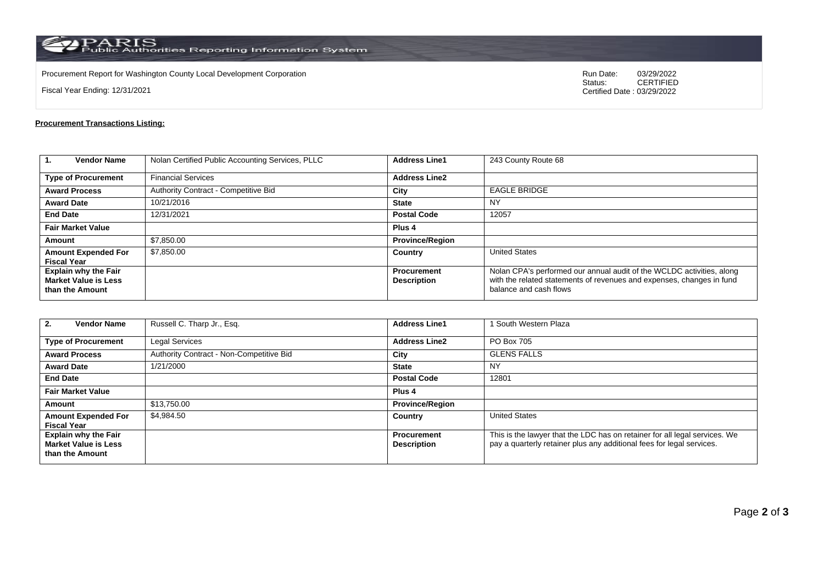$\rm PARS$  Public Authorities Reporting Information System

Procurement Report for Washington County Local Development Corporation **Computer Construction** Run Date: 03/29/2022<br>Status: CERTIFIED

Fiscal Year Ending: 12/31/2021

CERTIFIED Certified Date : 03/29/2022

## **Procurement Transactions Listing:**

| $\mathbf{1}$<br><b>Vendor Name</b>                                            | Nolan Certified Public Accounting Services, PLLC | <b>Address Line1</b>                     | 243 County Route 68                                                                                                                                                      |
|-------------------------------------------------------------------------------|--------------------------------------------------|------------------------------------------|--------------------------------------------------------------------------------------------------------------------------------------------------------------------------|
| <b>Type of Procurement</b>                                                    | <b>Financial Services</b>                        | <b>Address Line2</b>                     |                                                                                                                                                                          |
| <b>Award Process</b>                                                          | Authority Contract - Competitive Bid             | City                                     | <b>EAGLE BRIDGE</b>                                                                                                                                                      |
| <b>Award Date</b>                                                             | 10/21/2016                                       | <b>State</b>                             | ΝY                                                                                                                                                                       |
| <b>End Date</b>                                                               | 12/31/2021                                       | <b>Postal Code</b>                       | 12057                                                                                                                                                                    |
| <b>Fair Market Value</b>                                                      |                                                  | Plus <sub>4</sub>                        |                                                                                                                                                                          |
| Amount                                                                        | \$7,850.00                                       | <b>Province/Region</b>                   |                                                                                                                                                                          |
| <b>Amount Expended For</b><br><b>Fiscal Year</b>                              | \$7,850.00                                       | Country                                  | <b>United States</b>                                                                                                                                                     |
| <b>Explain why the Fair</b><br><b>Market Value is Less</b><br>than the Amount |                                                  | <b>Procurement</b><br><b>Description</b> | Nolan CPA's performed our annual audit of the WCLDC activities, along<br>with the related statements of revenues and expenses, changes in fund<br>balance and cash flows |

| <b>Vendor Name</b><br>2.                                                      | Russell C. Tharp Jr., Esq.               | <b>Address Line1</b>                     | South Western Plaza                                                                                                                                 |  |
|-------------------------------------------------------------------------------|------------------------------------------|------------------------------------------|-----------------------------------------------------------------------------------------------------------------------------------------------------|--|
| <b>Type of Procurement</b>                                                    | <b>Legal Services</b>                    | <b>Address Line2</b>                     | PO Box 705                                                                                                                                          |  |
| <b>Award Process</b>                                                          | Authority Contract - Non-Competitive Bid | City                                     | <b>GLENS FALLS</b>                                                                                                                                  |  |
| <b>Award Date</b>                                                             | 1/21/2000                                | <b>State</b>                             | <b>NY</b>                                                                                                                                           |  |
| <b>End Date</b>                                                               |                                          | <b>Postal Code</b>                       | 12801                                                                                                                                               |  |
| <b>Fair Market Value</b>                                                      |                                          | Plus <sub>4</sub>                        |                                                                                                                                                     |  |
| <b>Amount</b>                                                                 | \$13,750.00                              | <b>Province/Region</b>                   |                                                                                                                                                     |  |
| <b>Amount Expended For</b><br><b>Fiscal Year</b>                              | \$4,984.50                               | Country                                  | <b>United States</b>                                                                                                                                |  |
| <b>Explain why the Fair</b><br><b>Market Value is Less</b><br>than the Amount |                                          | <b>Procurement</b><br><b>Description</b> | This is the lawyer that the LDC has on retainer for all legal services. We<br>pay a quarterly retainer plus any additional fees for legal services. |  |